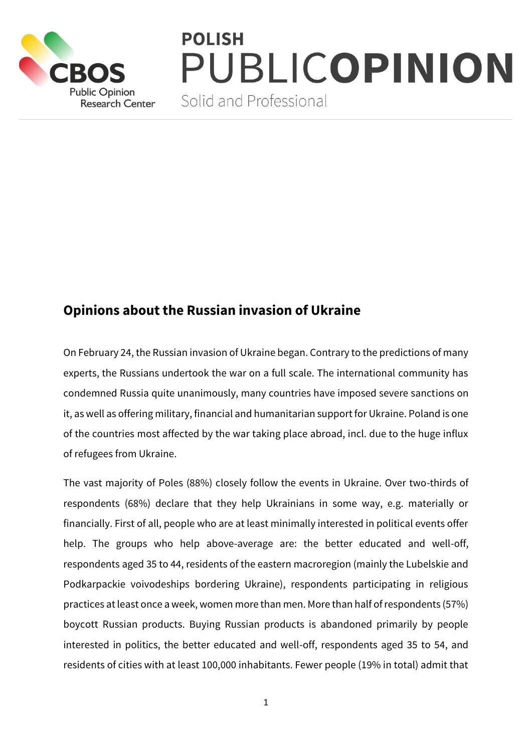

# **POLISH** PUBLICOPINION

Solid and Professional

## **Opinions about the Russian invasion of Ukraine**

On February 24, the Russian invasion of Ukraine began. Contrary to the predictions of many experts, the Russians undertook the war on a full scale. The international community has condemned Russia quite unanimously, many countries have imposed severe sanctions on it, as well as offering military, financial and humanitarian support for Ukraine. Poland is one of the countries most affected by the war taking place abroad, incl. due to the huge influx of refugees from Ukraine.

The vast majority of Poles (88%) closely follow the events in Ukraine. Over two-thirds of respondents (68%) declare that they help Ukrainians in some way, e.g. materially or financially. First of all, people who are at least minimally interested in political events offer help. The groups who help above-average are: the better educated and well-off, respondents aged 35 to 44, residents of the eastern macroregion (mainly the Lubelskie and Podkarpackie voivodeships bordering Ukraine), respondents participating in religious practices at least once a week, women more than men. More than half of respondents (57%) boycott Russian products. Buying Russian products is abandoned primarily by people interested in politics, the better educated and well-off, respondents aged 35 to 54, and residents of cities with at least 100,000 inhabitants. Fewer people (19% in total) admit that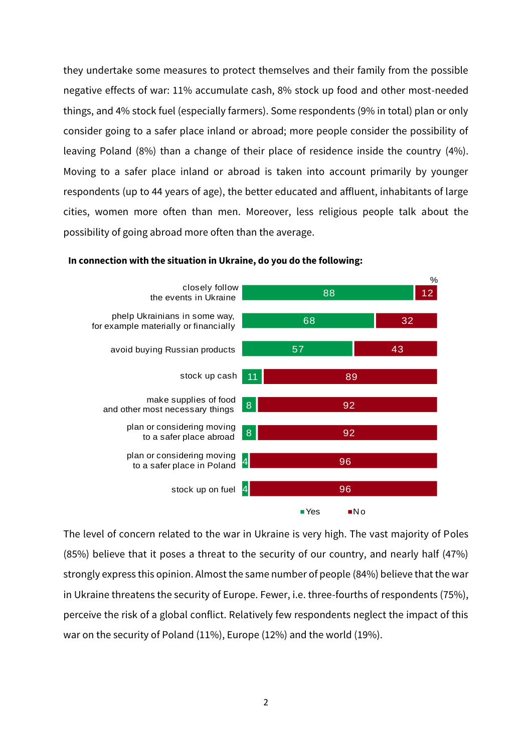they undertake some measures to protect themselves and their family from the possible negative effects of war: 11% accumulate cash, 8% stock up food and other most-needed things, and 4% stock fuel (especially farmers). Some respondents (9% in total) plan or only consider going to a safer place inland or abroad; more people consider the possibility of leaving Poland (8%) than a change of their place of residence inside the country (4%). Moving to a safer place inland or abroad is taken into account primarily by younger respondents (up to 44 years of age), the better educated and affluent, inhabitants of large cities, women more often than men. Moreover, less religious people talk about the possibility of going abroad more often than the average.



#### **In connection with the situation in Ukraine, do you do the following:**

The level of concern related to the war in Ukraine is very high. The vast majority of Poles (85%) believe that it poses a threat to the security of our country, and nearly half (47%) strongly express this opinion. Almost the same number of people (84%) believe that the war in Ukraine threatens the security of Europe. Fewer, i.e. three-fourths of respondents (75%), perceive the risk of a global conflict. Relatively few respondents neglect the impact of this war on the security of Poland (11%), Europe (12%) and the world (19%).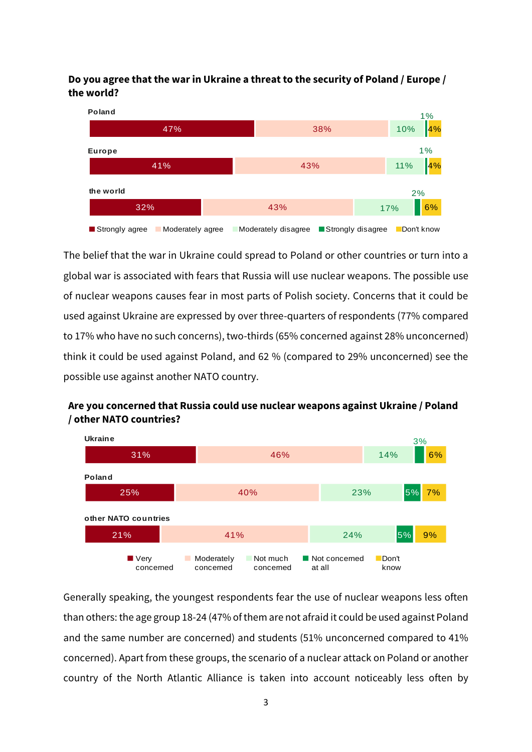**Do you agree that the war in Ukraine a threat to the security of Poland / Europe / the world?**



The belief that the war in Ukraine could spread to Poland or other countries or turn into a global war is associated with fears that Russia will use nuclear weapons. The possible use of nuclear weapons causes fear in most parts of Polish society. Concerns that it could be used against Ukraine are expressed by over three-quarters of respondents (77% compared to 17% who have no such concerns), two-thirds (65% concerned against 28% unconcerned) think it could be used against Poland, and 62 % (compared to 29% unconcerned) see the possible use against another NATO country.



### **Are you concerned that Russia could use nuclear weapons against Ukraine / Poland / other NATO countries?**

Generally speaking, the youngest respondents fear the use of nuclear weapons less often than others: the age group 18-24 (47% of them are not afraid it could be used against Poland and the same number are concerned) and students (51% unconcerned compared to 41% concerned). Apart from these groups, the scenario of a nuclear attack on Poland or another country of the North Atlantic Alliance is taken into account noticeably less often by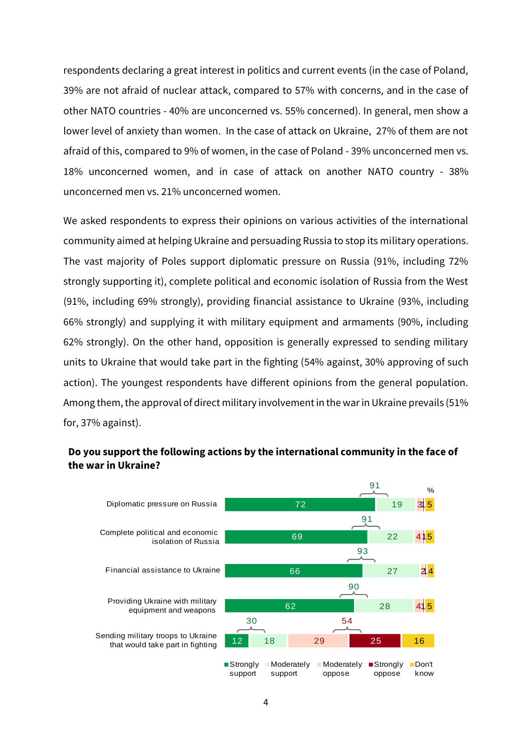respondents declaring a great interest in politics and current events (in the case of Poland, 39% are not afraid of nuclear attack, compared to 57% with concerns, and in the case of other NATO countries - 40% are unconcerned vs. 55% concerned). In general, men show a lower level of anxiety than women. In the case of attack on Ukraine, 27% of them are not afraid of this, compared to 9% of women, in the case of Poland - 39% unconcerned men vs. 18% unconcerned women, and in case of attack on another NATO country - 38% unconcerned men vs. 21% unconcerned women.

We asked respondents to express their opinions on various activities of the international community aimed at helping Ukraine and persuading Russia to stop its military operations. The vast majority of Poles support diplomatic pressure on Russia (91%, including 72% strongly supporting it), complete political and economic isolation of Russia from the West (91%, including 69% strongly), providing financial assistance to Ukraine (93%, including 66% strongly) and supplying it with military equipment and armaments (90%, including 62% strongly). On the other hand, opposition is generally expressed to sending military units to Ukraine that would take part in the fighting (54% against, 30% approving of such action). The youngest respondents have different opinions from the general population. Among them, the approval of direct military involvement in the war in Ukraine prevails (51% for, 37% against).

#### **Do you support the following actions by the international community in the face of the war in Ukraine?**

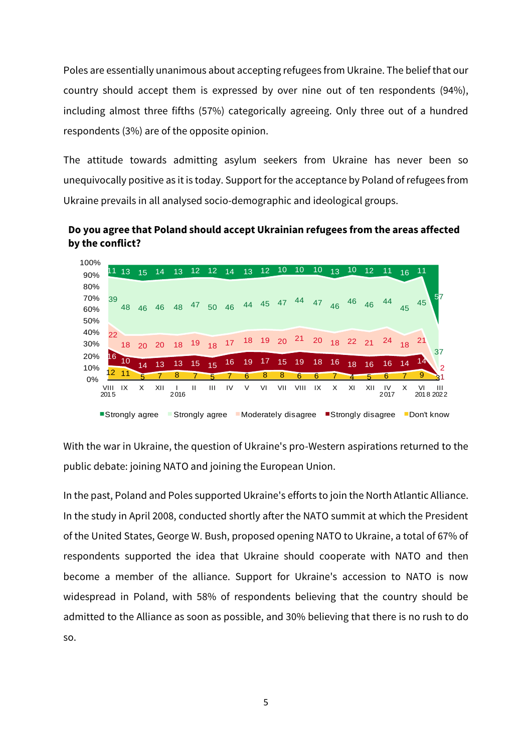Poles are essentially unanimous about accepting refugees from Ukraine. The belief that our country should accept them is expressed by over nine out of ten respondents (94%), including almost three fifths (57%) categorically agreeing. Only three out of a hundred respondents (3%) are of the opposite opinion.

The attitude towards admitting asylum seekers from Ukraine has never been so unequivocally positive as it is today. Support for the acceptance by Poland of refugees from Ukraine prevails in all analysed socio-demographic and ideological groups.

**Do you agree that Poland should accept Ukrainian refugees from the areas affected by the conflict?**



With the war in Ukraine, the question of Ukraine's pro-Western aspirations returned to the public debate: joining NATO and joining the European Union.

In the past, Poland and Poles supported Ukraine's efforts to join the North Atlantic Alliance. In the study in April 2008, conducted shortly after the NATO summit at which the President of the United States, George W. Bush, proposed opening NATO to Ukraine, a total of 67% of respondents supported the idea that Ukraine should cooperate with NATO and then become a member of the alliance. Support for Ukraine's accession to NATO is now widespread in Poland, with 58% of respondents believing that the country should be admitted to the Alliance as soon as possible, and 30% believing that there is no rush to do so.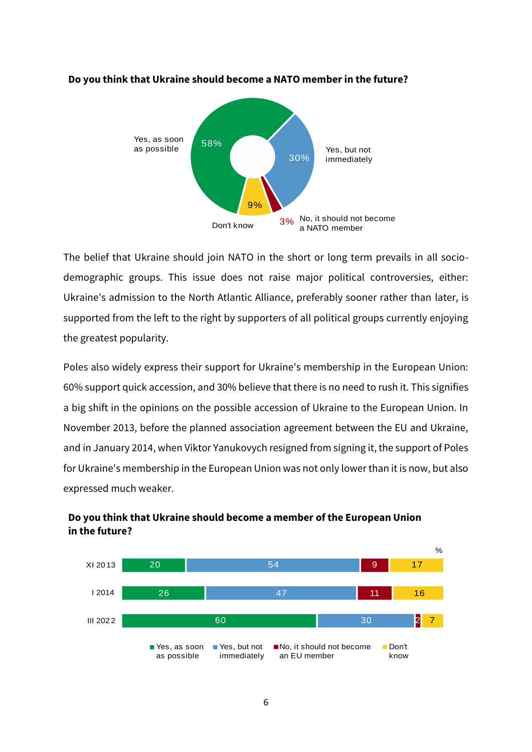

#### **Do you think that Ukraine should become a NATO member in the future?**

The belief that Ukraine should join NATO in the short or long term prevails in all sociodemographic groups. This issue does not raise major political controversies, either: Ukraine's admission to the North Atlantic Alliance, preferably sooner rather than later, is supported from the left to the right by supporters of all political groups currently enjoying the greatest popularity.

Poles also widely express their support for Ukraine's membership in the European Union: 60% support quick accession, and 30% believe that there is no need to rush it. This signifies a big shift in the opinions on the possible accession of Ukraine to the European Union. In November 2013, before the planned association agreement between the EU and Ukraine, and in January 2014, when Viktor Yanukovych resigned from signing it, the support of Poles for Ukraine's membership in the European Union was not only lower than it is now, but also expressed much weaker.



#### **Do you think that Ukraine should become a member of the European Union in the future?**